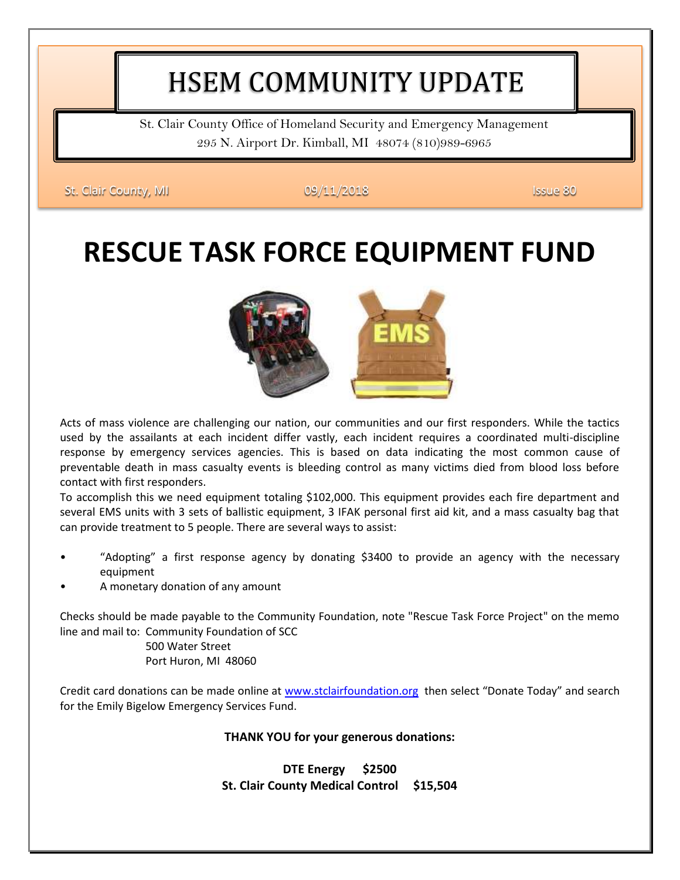# HSEM COMMUNITY UPDATE

St. Clair County Office of Homeland Security and Emergency Management 295 N. Airport Dr. Kimball, MI 48074 (810)989-6965

St. Clair County, MI 09/11/2018 **Issue 80** 

# **RESCUE TASK FORCE EQUIPMENT FUND**



Acts of mass violence are challenging our nation, our communities and our first responders. While the tactics used by the assailants at each incident differ vastly, each incident requires a coordinated multi-discipline response by emergency services agencies. This is based on data indicating the most common cause of preventable death in mass casualty events is bleeding control as many victims died from blood loss before contact with first responders.

To accomplish this we need equipment totaling \$102,000. This equipment provides each fire department and several EMS units with 3 sets of ballistic equipment, 3 IFAK personal first aid kit, and a mass casualty bag that can provide treatment to 5 people. There are several ways to assist:

- "Adopting" a first response agency by donating \$3400 to provide an agency with the necessary equipment
- A monetary donation of any amount

Checks should be made payable to the Community Foundation, note "Rescue Task Force Project" on the memo line and mail to: Community Foundation of SCC

 500 Water Street Port Huron, MI 48060

Credit card donations can be made online at [www.stclairfoundation.org](http://www.stclairfoundation.org/) then select "Donate Today" and search for the Emily Bigelow Emergency Services Fund.

#### **THANK YOU for your generous donations:**

**DTE Energy \$2500 St. Clair County Medical Control \$15,504**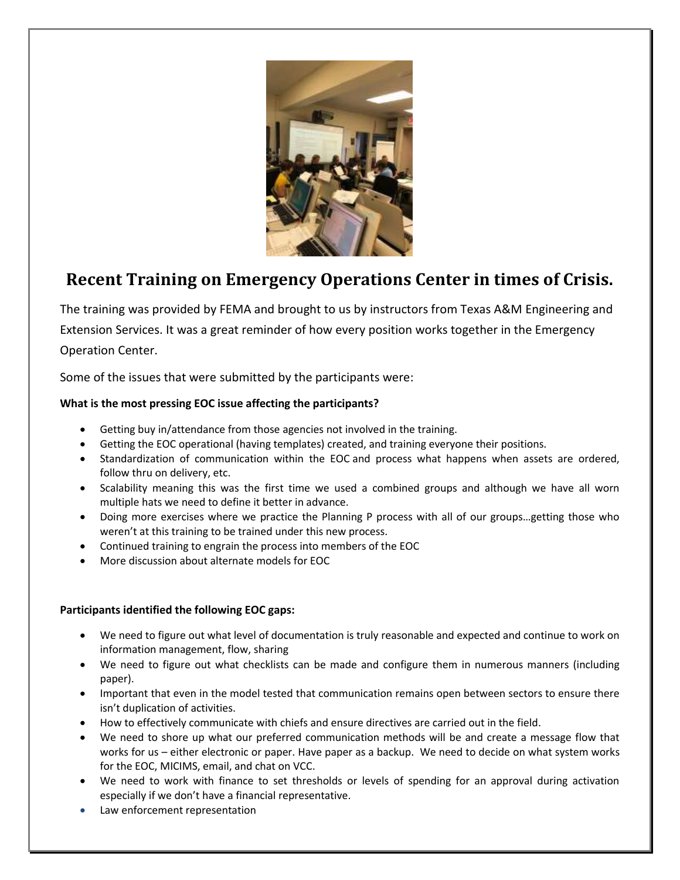

### **Recent Training on Emergency Operations Center in times of Crisis.**

The training was provided by FEMA and brought to us by instructors from Texas A&M Engineering and Extension Services. It was a great reminder of how every position works together in the Emergency Operation Center.

Some of the issues that were submitted by the participants were:

### **What is the most pressing EOC issue affecting the participants?**

- Getting buy in/attendance from those agencies not involved in the training.
- Getting the EOC operational (having templates) created, and training everyone their positions.
- Standardization of communication within the EOC and process what happens when assets are ordered, follow thru on delivery, etc.
- Scalability meaning this was the first time we used a combined groups and although we have all worn multiple hats we need to define it better in advance.
- Doing more exercises where we practice the Planning P process with all of our groups…getting those who weren't at this training to be trained under this new process.
- Continued training to engrain the process into members of the EOC
- More discussion about alternate models for EOC

#### **Participants identified the following EOC gaps:**

- We need to figure out what level of documentation is truly reasonable and expected and continue to work on information management, flow, sharing
- We need to figure out what checklists can be made and configure them in numerous manners (including paper).
- Important that even in the model tested that communication remains open between sectors to ensure there isn't duplication of activities.
- How to effectively communicate with chiefs and ensure directives are carried out in the field.
- We need to shore up what our preferred communication methods will be and create a message flow that works for us – either electronic or paper. Have paper as a backup. We need to decide on what system works for the EOC, MICIMS, email, and chat on VCC.
- We need to work with finance to set thresholds or levels of spending for an approval during activation especially if we don't have a financial representative.
- Law enforcement representation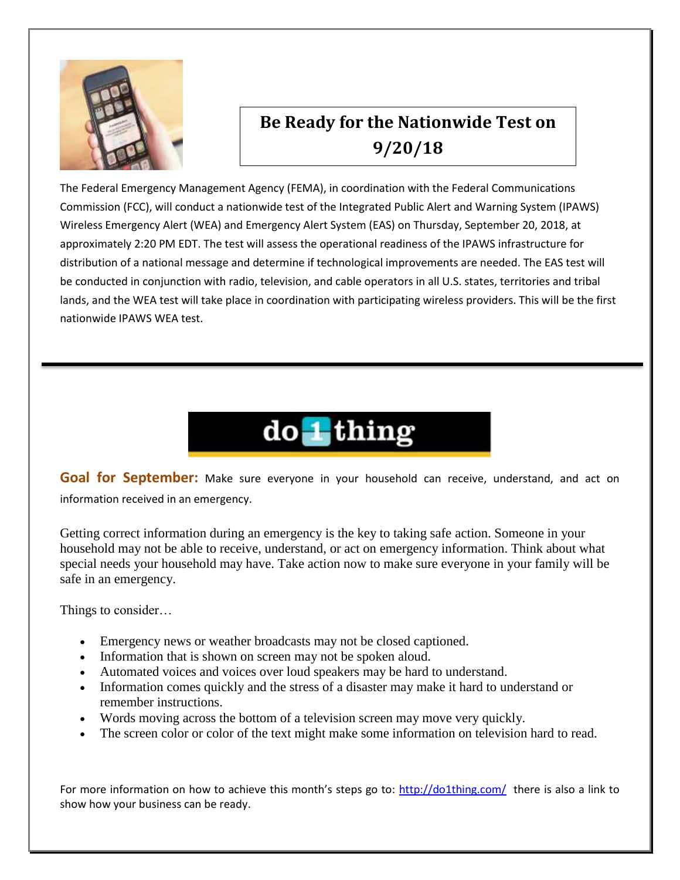

## **Be Ready for the Nationwide Test on 9/20/18**

The Federal Emergency Management Agency (FEMA), in coordination with the Federal Communications Commission (FCC), will conduct a nationwide test of the Integrated Public Alert and Warning System (IPAWS) Wireless Emergency Alert (WEA) and Emergency Alert System (EAS) on Thursday, September 20, 2018, at approximately 2:20 PM EDT. The test will assess the operational readiness of the IPAWS infrastructure for distribution of a national message and determine if technological improvements are needed. The EAS test will be conducted in conjunction with radio, television, and cable operators in all U.S. states, territories and tribal lands, and the WEA test will take place in coordination with participating wireless providers. This will be the first nationwide IPAWS WEA test.

# do 1 thing

**Goal for September:** Make sure everyone in your household can receive, understand, and act on information received in an emergency.

Getting correct information during an emergency is the key to taking safe action. Someone in your household may not be able to receive, understand, or act on emergency information. Think about what special needs your household may have. Take action now to make sure everyone in your family will be safe in an emergency.

Things to consider…

- Emergency news or weather broadcasts may not be closed captioned.
- Information that is shown on screen may not be spoken aloud.
- Automated voices and voices over loud speakers may be hard to understand.
- Information comes quickly and the stress of a disaster may make it hard to understand or remember instructions.
- Words moving across the bottom of a television screen may move very quickly.
- The screen color or color of the text might make some information on television hard to read.

For more information on how to achieve this month's steps go to: <http://do1thing.com/>there is also a link to show how your business can be ready.